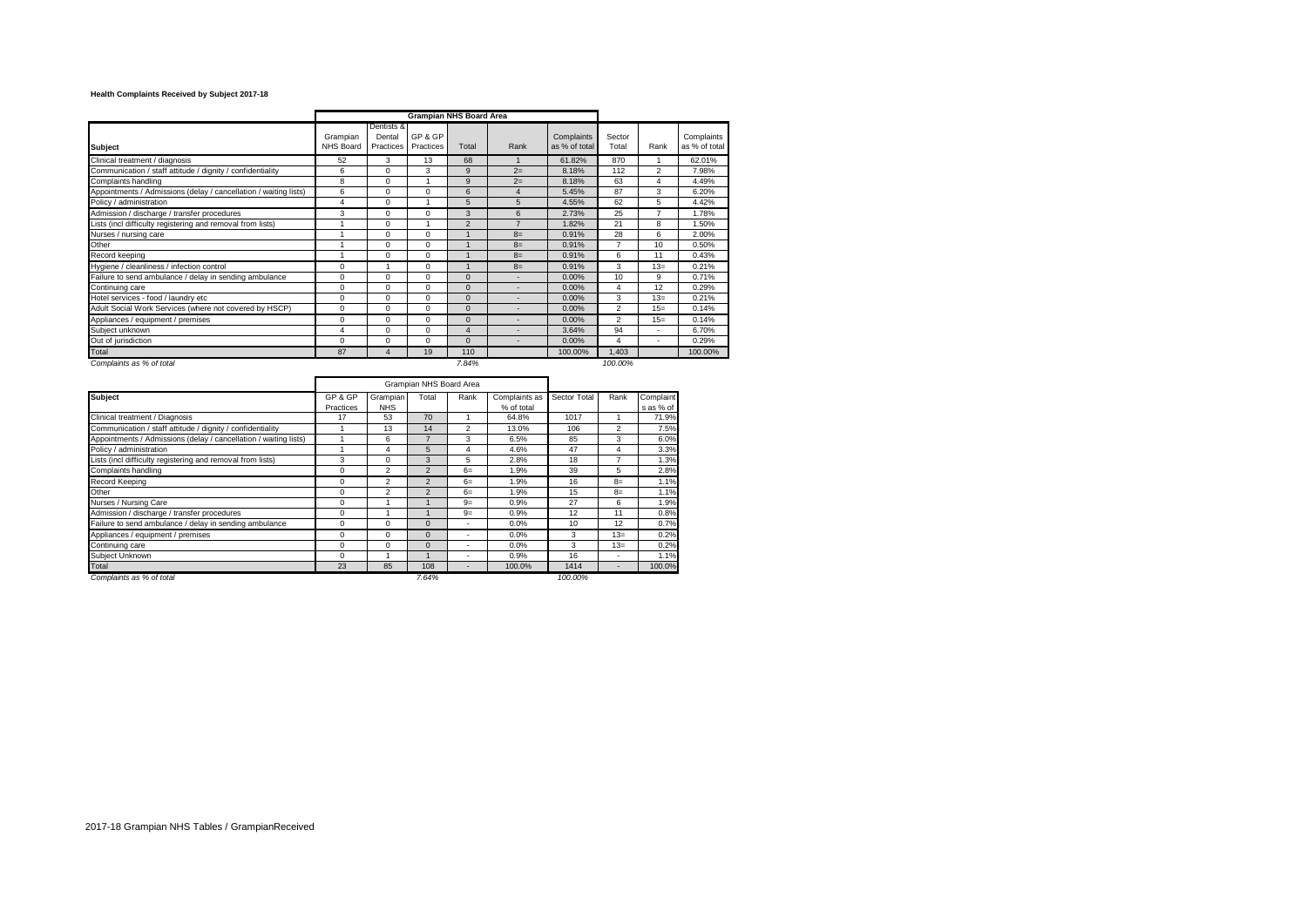# **Health Complaints Received by Subject 2017-18**

|                                                                  |                       |                                   | <b>Grampian NHS Board Area</b> |                |                |                             |                 |                          |                             |
|------------------------------------------------------------------|-----------------------|-----------------------------------|--------------------------------|----------------|----------------|-----------------------------|-----------------|--------------------------|-----------------------------|
| <b>Subject</b>                                                   | Grampian<br>NHS Board | Dentists &<br>Dental<br>Practices | GP & GP<br>Practices           | Total          | Rank           | Complaints<br>as % of total | Sector<br>Total | Rank                     | Complaints<br>as % of total |
| Clinical treatment / diagnosis                                   | 52                    | 3                                 | 13                             | 68             |                | 61.82%                      | 870             | 1                        | 62.01%                      |
| Communication / staff attitude / dignity / confidentiality       | 6                     | $\Omega$                          | 3                              | 9              | $2=$           | 8.18%                       | 112             | $\overline{c}$           | 7.98%                       |
| Complaints handling                                              | 8                     | $\Omega$                          |                                | 9              | $2=$           | 8.18%                       | 63              | 4                        | 4.49%                       |
| Appointments / Admissions (delay / cancellation / waiting lists) | 6                     | 0                                 | $\mathbf 0$                    | 6              | 4              | 5.45%                       | 87              | 3                        | 6.20%                       |
| Policy / administration                                          | 4                     | $\Omega$                          |                                | 5              | 5              | 4.55%                       | 62              | 5                        | 4.42%                       |
| Admission / discharge / transfer procedures                      | 3                     | $\Omega$                          | $\Omega$                       | 3              | 6              | 2.73%                       | 25              | $\overline{7}$           | 1.78%                       |
| Lists (incl difficulty registering and removal from lists)       |                       | $\Omega$                          |                                | $\overline{2}$ | $\overline{z}$ | 1.82%                       | 21              | 8                        | .50%                        |
| Nurses / nursing care                                            |                       | $\Omega$                          | $\Omega$                       |                | $8=$           | 0.91%                       | 28              | 6                        | 2.00%                       |
| Other                                                            |                       | $\Omega$                          | $\Omega$                       |                | $8=$           | 0.91%                       | 7               | 10                       | 0.50%                       |
| Record keeping                                                   |                       | $\Omega$                          | $\Omega$                       |                | $8=$           | 0.91%                       | 6               | 11                       | 0.43%                       |
| Hygiene / cleanliness / infection control                        | $\Omega$              |                                   | $\Omega$                       |                | $8=$           | 0.91%                       | 3               | $13=$                    | 0.21%                       |
| Failure to send ambulance / delay in sending ambulance           | $\Omega$              | $\Omega$                          | $\Omega$                       | $\Omega$       |                | 0.00%                       | 10              | 9                        | 0.71%                       |
| Continuing care                                                  | $\Omega$              | $\Omega$                          | $\Omega$                       | $\Omega$       |                | 0.00%                       | $\overline{4}$  | 12                       | 0.29%                       |
| Hotel services - food / laundry etc                              | $\Omega$              | $\Omega$                          | $\Omega$                       | $\Omega$       |                | 0.00%                       | 3               | $13=$                    | 0.21%                       |
| Adult Social Work Services (where not covered by HSCP)           | $\Omega$              | $\Omega$                          | $\Omega$                       | $\mathbf{0}$   |                | 0.00%                       | $\overline{2}$  | $15=$                    | 0.14%                       |
| Appliances / equipment / premises                                | $\Omega$              | $\Omega$                          | $\Omega$                       | $\Omega$       |                | 0.00%                       | $\mathfrak{p}$  | $15=$                    | 0.14%                       |
| Subiect unknown                                                  | 4                     | $\Omega$                          | $\Omega$                       | $\overline{4}$ |                | 3.64%                       | 94              |                          | 6.70%                       |
| Out of jurisdiction                                              | $\Omega$              | $\Omega$                          | $\Omega$                       | $\Omega$       |                | 0.00%                       | $\overline{4}$  | $\overline{\phantom{a}}$ | 0.29%                       |
| Total                                                            | 87                    | 4                                 | 19                             | 110            |                | 100.00%                     | 1,403           |                          | 100.00%                     |
| Complaints as % of total                                         |                       |                                   |                                | 7.84%          |                |                             | 100.00%         |                          |                             |

|                                                                  |                      |                        | Grampian NHS Board Area |                |                             |              |                          |                        |
|------------------------------------------------------------------|----------------------|------------------------|-------------------------|----------------|-----------------------------|--------------|--------------------------|------------------------|
| <b>Subject</b>                                                   | GP & GP<br>Practices | Grampian<br><b>NHS</b> | Total                   | Rank           | Complaints as<br>% of total | Sector Total | Rank                     | Complaint<br>s as % of |
| Clinical treatment / Diagnosis                                   | 17                   | 53                     | 70                      |                | 64.8%                       | 1017         |                          | 71.9%                  |
| Communication / staff attitude / dignity / confidentiality       |                      | 13                     | 14                      | $\mathfrak{p}$ | 13.0%                       | 106          | $\mathfrak{p}$           | 7.5%                   |
| Appointments / Admissions (delay / cancellation / waiting lists) |                      | 6                      |                         | 3              | 6.5%                        | 85           | 3                        | 6.0%                   |
| Policy / administration                                          |                      | 4                      | 5                       | 4              | 4.6%                        | 47           | 4                        | 3.3%                   |
| Lists (incl difficulty registering and removal from lists)       | 3                    | $\Omega$               | 3                       | 5              | 2.8%                        | 18           | $\overline{ }$           | 1.3%                   |
| Complaints handling                                              | 0                    | $\overline{2}$         | $\overline{2}$          | $6=$           | 1.9%                        | 39           | 5                        | 2.8%                   |
| Record Keeping                                                   | $\Omega$             | $\overline{2}$         |                         | $6=$           | 1.9%                        | 16           | $8=$                     | 1.1%                   |
| Other                                                            | $\Omega$             | $\mathfrak{p}$         |                         | $6=$           | 1.9%                        | 15           | $8=$                     | 1.1%                   |
| Nurses / Nursing Care                                            | $\mathbf 0$          |                        |                         | $9=$           | 0.9%                        | 27           | 6                        | 1.9%                   |
| Admission / discharge / transfer procedures                      | 0                    |                        |                         | $9=$           | 0.9%                        | 12           | 11                       | 0.8%                   |
| Failure to send ambulance / delay in sending ambulance           | $\mathbf 0$          | $\Omega$               | $\Omega$                | ۰              | 0.0%                        | 10           | 12                       | 0.7%                   |
| Appliances / equipment / premises                                | $\mathbf 0$          | $\Omega$               | $\Omega$                |                | 0.0%                        | 3            | $13=$                    | 0.2%                   |
| Continuing care                                                  | $\mathbf 0$          | $\Omega$               | $\Omega$                |                | 0.0%                        | 3            | $13=$                    | 0.2%                   |
| Subject Unknown                                                  | 0                    |                        |                         |                | 0.9%                        | 16           | $\overline{\phantom{a}}$ | 1.1%                   |
| Total                                                            | 23                   | 85                     | 108                     |                | 100.0%                      | 1414         | -                        | 100.0%                 |
| Complaints as % of total                                         |                      |                        | 7.64%                   |                |                             | 100.00%      |                          |                        |

×

2017-18 Grampian NHS Tables / GrampianReceived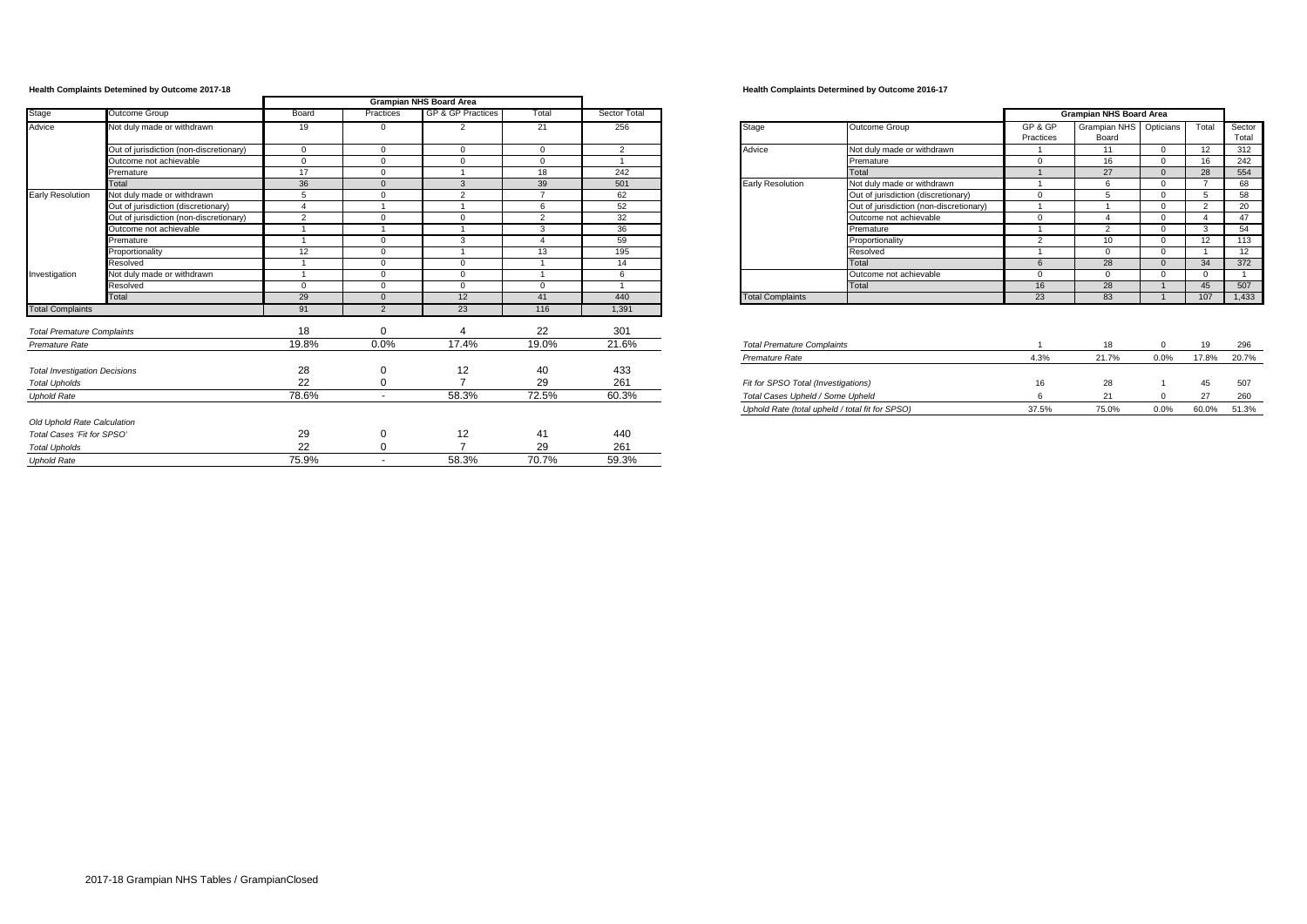|                                      |                                         |                |                | <b>Grampian NHS Board Area</b> |              |                |                                     |                                                 |                      |                                 |                |               |                |
|--------------------------------------|-----------------------------------------|----------------|----------------|--------------------------------|--------------|----------------|-------------------------------------|-------------------------------------------------|----------------------|---------------------------------|----------------|---------------|----------------|
| Stage                                | Outcome Group                           | Board          | Practices      | <b>GP &amp; GP Practices</b>   | Total        | Sector Total   |                                     |                                                 |                      | <b>Grampian NHS Board Area</b>  |                |               |                |
| Advice                               | Not duly made or withdrawn              | 19             | $\Omega$       | $\overline{2}$                 | 21           | 256            | Stage                               | Outcome Group                                   | GP & GP<br>Practices | Grampian NHS Opticians<br>Board |                | Total         | Secto<br>Total |
|                                      | Out of jurisdiction (non-discretionary) | $^{\circ}$     | $\Omega$       | $\mathbf{0}$                   | $\mathbf{0}$ | $\overline{2}$ | Advice                              | Not duly made or withdrawn                      |                      | 11                              | $\mathbf{0}$   | 12            | 312            |
|                                      | Outcome not achievable                  | $\Omega$       | $\Omega$       | $\Omega$                       | $\Omega$     |                |                                     | Premature                                       | $\Omega$             | 16                              | $\Omega$       | 16            | 242            |
|                                      | Premature                               | 17             | $\Omega$       |                                | 18           | 242            |                                     | Total                                           |                      | 27                              | $\Omega$       | 28            | 554            |
|                                      | Total                                   | 36             |                | 3                              | 39           | 501            | <b>Early Resolution</b>             | Not duly made or withdrawn                      |                      |                                 | $\mathbf{0}$   |               | 68             |
| <b>Early Resolution</b>              | Not duly made or withdrawn              | 5              | $\Omega$       | $\overline{2}$                 |              | 62             |                                     | Out of jurisdiction (discretionary)             | $\Omega$             |                                 | $\Omega$       |               | 58             |
|                                      | Out of jurisdiction (discretionary)     | $\overline{a}$ |                |                                | 6            | 52             |                                     | Out of jurisdiction (non-discretionary)         |                      |                                 | $\Omega$       | $\mathcal{D}$ | 20             |
|                                      | Out of jurisdiction (non-discretionary) | $\overline{2}$ | $\Omega$       | $\Omega$                       | 2            | 32             |                                     | Outcome not achievable                          | $\Omega$             |                                 | $\Omega$       |               | 47             |
|                                      | Outcome not achievable                  |                |                |                                | 3            | 36             |                                     | Premature                                       |                      | $\sim$                          | $\mathbf{0}$   |               | 54             |
|                                      | Premature                               |                | $\sqrt{2}$     | 3                              |              | 59             |                                     | Proportionality                                 | $\overline{2}$       | 10                              | $\Omega$       | 12            | 113            |
|                                      | Proportionality                         | 12             | $\sqrt{ }$     |                                | 13           | 195            |                                     | Resolved                                        |                      | $\Omega$                        | $\Omega$       |               | 12             |
|                                      | Resolved                                |                | $\Omega$       | $\Omega$                       |              | 14             |                                     | Total                                           |                      | 28                              | $\Omega$       | 34            | 372            |
| Investigation                        | Not duly made or withdrawn              |                | $\Omega$       | $\Omega$                       |              | 6              |                                     | Outcome not achievable                          | $\Omega$             | $\Omega$                        | $\Omega$       |               | $\mathbf{1}$   |
|                                      | Resolved                                | $\Omega$       | $\Omega$       | $\Omega$                       | $\Omega$     |                |                                     | Total                                           | 16                   | 28                              |                | 45            | 507            |
|                                      | Total                                   | 29             |                | 12                             | 41           | 440            | <b>Total Complaints</b>             |                                                 | 23                   | 83                              | $\overline{1}$ | 107           | 1,433          |
| <b>Total Complaints</b>              |                                         | 91             | $\overline{2}$ | 23                             | 116          | 1,391          |                                     |                                                 |                      |                                 |                |               |                |
| <b>Total Premature Complaints</b>    |                                         | 18             | $\Omega$       |                                | 22           | 301            |                                     |                                                 |                      |                                 |                |               |                |
| Premature Rate                       |                                         | 19.8%          | 0.0%           | 17.4%                          | 19.0%        | 21.6%          | <b>Total Premature Complaints</b>   |                                                 |                      | 18                              | $\mathbf 0$    | 19            | 296            |
|                                      |                                         |                |                |                                |              |                | Premature Rate                      |                                                 | 4.3%                 | 21.7%                           | 0.0%           | 17.8%         | 20.7%          |
| <b>Total Investigation Decisions</b> |                                         | 28             | $\Omega$       | 12                             | 40           | 433            |                                     |                                                 |                      |                                 |                |               |                |
| <b>Total Upholds</b>                 |                                         | 22             |                | $\overline{ }$                 | 29           | 261            | Fit for SPSO Total (Investigations) |                                                 | 16                   | 28                              |                | 45            | 507            |
| <b>Uphold Rate</b>                   |                                         | 78.6%          | $\sim$         | 58.3%                          | 72.5%        | 60.3%          | Total Cases Upheld / Some Upheld    |                                                 |                      | 21                              | $\Omega$       | 27            | 260            |
|                                      |                                         |                |                |                                |              |                |                                     | Uphold Rate (total upheld / total fit for SPSO) | 37.5%                | 75.0%                           | 0.0%           | 60.0% 51.3%   |                |
| Old Uphold Rate Calculation          |                                         |                |                |                                |              |                |                                     |                                                 |                      |                                 |                |               |                |
| Total Cases 'Fit for SPSO'           |                                         | 29             |                | 12                             | 41           | 440            |                                     |                                                 |                      |                                 |                |               |                |
| <b>Total Upholds</b>                 |                                         | 22             |                | $\overline{ }$                 | 29           | 261            |                                     |                                                 |                      |                                 |                |               |                |
| <b>Uphold Rate</b>                   |                                         | 75.9%          | $\sim$         | 58.3%                          | 70.7%        | 59.3%          |                                     |                                                 |                      |                                 |                |               |                |
|                                      |                                         |                |                |                                |              |                |                                     |                                                 |                      |                                 |                |               |                |

## **Health Complaints Detemined by Outcome 2017-18 Health Complaints Determined by Outcome 2016-17**

|                         |                                         | <b>Grampian NHS Board Area</b> |                       |           |                |                 |
|-------------------------|-----------------------------------------|--------------------------------|-----------------------|-----------|----------------|-----------------|
| Stage                   | Outcome Group                           | GP & GP<br>Practices           | Grampian NHS<br>Board | Opticians | Total          | Sector<br>Total |
| Advice                  | Not duly made or withdrawn              |                                | 11                    | $\Omega$  | 12             | 312             |
|                         | Premature                               | $\Omega$                       | 16                    | $\Omega$  | 16             | 242             |
|                         | Total                                   |                                | 27                    | $\Omega$  | 28             | 554             |
| Early Resolution        | Not duly made or withdrawn              |                                | 6                     | $\Omega$  | 7              | 68              |
|                         | Out of jurisdiction (discretionary)     | $\Omega$                       | 5                     | $\Omega$  | 5              | 58              |
|                         | Out of jurisdiction (non-discretionary) |                                |                       | $\Omega$  | $\overline{2}$ | 20              |
|                         | Outcome not achievable                  | $\Omega$                       | 4                     | $\Omega$  | 4              | 47              |
|                         | Premature                               |                                | $\overline{2}$        | $\Omega$  | 3              | 54              |
|                         | Proportionality                         | $\overline{2}$                 | 10 <sup>1</sup>       | $\Omega$  | 12             | 113             |
|                         | Resolved                                |                                | $\Omega$              | $\Omega$  | 1              | 12              |
|                         | Total                                   | 6                              | 28                    | $\Omega$  | 34             | 372             |
|                         | Outcome not achievable                  | $\Omega$                       | $\Omega$              | $\Omega$  | $\Omega$       | 1               |
|                         | Total                                   | 16                             | 28                    |           | 45             | 507             |
| <b>Total Complaints</b> |                                         | 23                             | 83                    |           | 107            | 1,433           |

| Tual Fielilaule Culibialius                     |       | $\sim$ |      | - 13  | ∠ສບ   |
|-------------------------------------------------|-------|--------|------|-------|-------|
| Premature Rate                                  | 4.3%  | 21.7%  | 0.0% | 17.8% | 20.7% |
|                                                 |       |        |      |       |       |
| Fit for SPSO Total (Investigations)             | 16    | 28     |      | 45    | 507   |
| Total Cases Upheld / Some Upheld                |       |        |      | 27    | 260   |
| Uphold Rate (total upheld / total fit for SPSO) | 37.5% | 75.0%  | 0.0% | 60.0% | 51.3% |